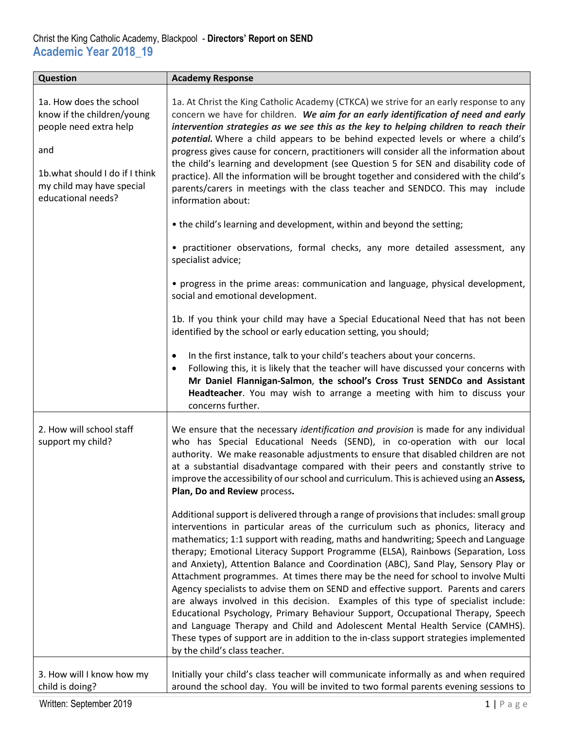| <b>Question</b>                                                                                                                                                             | <b>Academy Response</b>                                                                                                                                                                                                                                                                                                                                                                                                                                                                                                                                                                                                                                                                                                                                                                                                                                                                                                                                                                                     |
|-----------------------------------------------------------------------------------------------------------------------------------------------------------------------------|-------------------------------------------------------------------------------------------------------------------------------------------------------------------------------------------------------------------------------------------------------------------------------------------------------------------------------------------------------------------------------------------------------------------------------------------------------------------------------------------------------------------------------------------------------------------------------------------------------------------------------------------------------------------------------------------------------------------------------------------------------------------------------------------------------------------------------------------------------------------------------------------------------------------------------------------------------------------------------------------------------------|
| 1a. How does the school<br>know if the children/young<br>people need extra help<br>and<br>1b.what should I do if I think<br>my child may have special<br>educational needs? | 1a. At Christ the King Catholic Academy (CTKCA) we strive for an early response to any<br>concern we have for children. We aim for an early identification of need and early<br>intervention strategies as we see this as the key to helping children to reach their<br>potential. Where a child appears to be behind expected levels or where a child's<br>progress gives cause for concern, practitioners will consider all the information about<br>the child's learning and development (see Question 5 for SEN and disability code of<br>practice). All the information will be brought together and considered with the child's<br>parents/carers in meetings with the class teacher and SENDCO. This may include<br>information about:                                                                                                                                                                                                                                                               |
|                                                                                                                                                                             | • the child's learning and development, within and beyond the setting;                                                                                                                                                                                                                                                                                                                                                                                                                                                                                                                                                                                                                                                                                                                                                                                                                                                                                                                                      |
|                                                                                                                                                                             | • practitioner observations, formal checks, any more detailed assessment, any<br>specialist advice;                                                                                                                                                                                                                                                                                                                                                                                                                                                                                                                                                                                                                                                                                                                                                                                                                                                                                                         |
|                                                                                                                                                                             | • progress in the prime areas: communication and language, physical development,<br>social and emotional development.                                                                                                                                                                                                                                                                                                                                                                                                                                                                                                                                                                                                                                                                                                                                                                                                                                                                                       |
|                                                                                                                                                                             | 1b. If you think your child may have a Special Educational Need that has not been<br>identified by the school or early education setting, you should;                                                                                                                                                                                                                                                                                                                                                                                                                                                                                                                                                                                                                                                                                                                                                                                                                                                       |
|                                                                                                                                                                             | In the first instance, talk to your child's teachers about your concerns.<br>٠<br>Following this, it is likely that the teacher will have discussed your concerns with<br>$\bullet$<br>Mr Daniel Flannigan-Salmon, the school's Cross Trust SENDCo and Assistant<br>Headteacher. You may wish to arrange a meeting with him to discuss your<br>concerns further.                                                                                                                                                                                                                                                                                                                                                                                                                                                                                                                                                                                                                                            |
| 2. How will school staff<br>support my child?                                                                                                                               | We ensure that the necessary identification and provision is made for any individual<br>who has Special Educational Needs (SEND), in co-operation with our local<br>authority. We make reasonable adjustments to ensure that disabled children are not<br>at a substantial disadvantage compared with their peers and constantly strive to<br>improve the accessibility of our school and curriculum. This is achieved using an Assess,<br>Plan, Do and Review process.                                                                                                                                                                                                                                                                                                                                                                                                                                                                                                                                     |
|                                                                                                                                                                             | Additional support is delivered through a range of provisions that includes: small group<br>interventions in particular areas of the curriculum such as phonics, literacy and<br>mathematics; 1:1 support with reading, maths and handwriting; Speech and Language<br>therapy; Emotional Literacy Support Programme (ELSA), Rainbows (Separation, Loss<br>and Anxiety), Attention Balance and Coordination (ABC), Sand Play, Sensory Play or<br>Attachment programmes. At times there may be the need for school to involve Multi<br>Agency specialists to advise them on SEND and effective support. Parents and carers<br>are always involved in this decision. Examples of this type of specialist include:<br>Educational Psychology, Primary Behaviour Support, Occupational Therapy, Speech<br>and Language Therapy and Child and Adolescent Mental Health Service (CAMHS).<br>These types of support are in addition to the in-class support strategies implemented<br>by the child's class teacher. |
| 3. How will I know how my<br>child is doing?                                                                                                                                | Initially your child's class teacher will communicate informally as and when required<br>around the school day. You will be invited to two formal parents evening sessions to                                                                                                                                                                                                                                                                                                                                                                                                                                                                                                                                                                                                                                                                                                                                                                                                                               |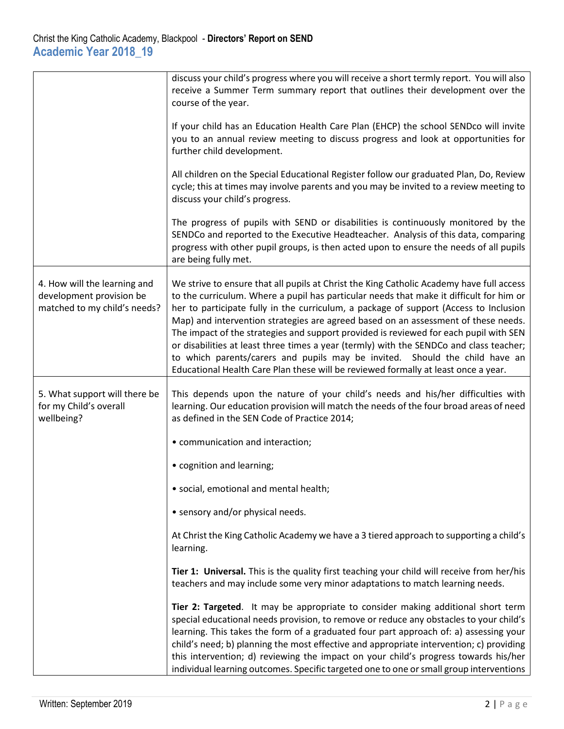|                                                                                          | discuss your child's progress where you will receive a short termly report. You will also<br>receive a Summer Term summary report that outlines their development over the<br>course of the year.                                                                                                                                                                                                                                                                                                                                                                                                                                                                                                                           |
|------------------------------------------------------------------------------------------|-----------------------------------------------------------------------------------------------------------------------------------------------------------------------------------------------------------------------------------------------------------------------------------------------------------------------------------------------------------------------------------------------------------------------------------------------------------------------------------------------------------------------------------------------------------------------------------------------------------------------------------------------------------------------------------------------------------------------------|
|                                                                                          | If your child has an Education Health Care Plan (EHCP) the school SENDco will invite<br>you to an annual review meeting to discuss progress and look at opportunities for<br>further child development.                                                                                                                                                                                                                                                                                                                                                                                                                                                                                                                     |
|                                                                                          | All children on the Special Educational Register follow our graduated Plan, Do, Review<br>cycle; this at times may involve parents and you may be invited to a review meeting to<br>discuss your child's progress.                                                                                                                                                                                                                                                                                                                                                                                                                                                                                                          |
|                                                                                          | The progress of pupils with SEND or disabilities is continuously monitored by the<br>SENDCo and reported to the Executive Headteacher. Analysis of this data, comparing<br>progress with other pupil groups, is then acted upon to ensure the needs of all pupils<br>are being fully met.                                                                                                                                                                                                                                                                                                                                                                                                                                   |
| 4. How will the learning and<br>development provision be<br>matched to my child's needs? | We strive to ensure that all pupils at Christ the King Catholic Academy have full access<br>to the curriculum. Where a pupil has particular needs that make it difficult for him or<br>her to participate fully in the curriculum, a package of support (Access to Inclusion<br>Map) and intervention strategies are agreed based on an assessment of these needs.<br>The impact of the strategies and support provided is reviewed for each pupil with SEN<br>or disabilities at least three times a year (termly) with the SENDCo and class teacher;<br>to which parents/carers and pupils may be invited. Should the child have an<br>Educational Health Care Plan these will be reviewed formally at least once a year. |
| 5. What support will there be<br>for my Child's overall<br>wellbeing?                    | This depends upon the nature of your child's needs and his/her difficulties with<br>learning. Our education provision will match the needs of the four broad areas of need<br>as defined in the SEN Code of Practice 2014;                                                                                                                                                                                                                                                                                                                                                                                                                                                                                                  |
|                                                                                          | • communication and interaction;                                                                                                                                                                                                                                                                                                                                                                                                                                                                                                                                                                                                                                                                                            |
|                                                                                          | • cognition and learning;                                                                                                                                                                                                                                                                                                                                                                                                                                                                                                                                                                                                                                                                                                   |
|                                                                                          | · social, emotional and mental health;                                                                                                                                                                                                                                                                                                                                                                                                                                                                                                                                                                                                                                                                                      |
|                                                                                          | • sensory and/or physical needs.                                                                                                                                                                                                                                                                                                                                                                                                                                                                                                                                                                                                                                                                                            |
|                                                                                          | At Christ the King Catholic Academy we have a 3 tiered approach to supporting a child's<br>learning.                                                                                                                                                                                                                                                                                                                                                                                                                                                                                                                                                                                                                        |
|                                                                                          | Tier 1: Universal. This is the quality first teaching your child will receive from her/his<br>teachers and may include some very minor adaptations to match learning needs.                                                                                                                                                                                                                                                                                                                                                                                                                                                                                                                                                 |
|                                                                                          | Tier 2: Targeted. It may be appropriate to consider making additional short term<br>special educational needs provision, to remove or reduce any obstacles to your child's<br>learning. This takes the form of a graduated four part approach of: a) assessing your<br>child's need; b) planning the most effective and appropriate intervention; c) providing<br>this intervention; d) reviewing the impact on your child's progress towards his/her<br>individual learning outcomes. Specific targeted one to one or small group interventions                                                                                                                                                                            |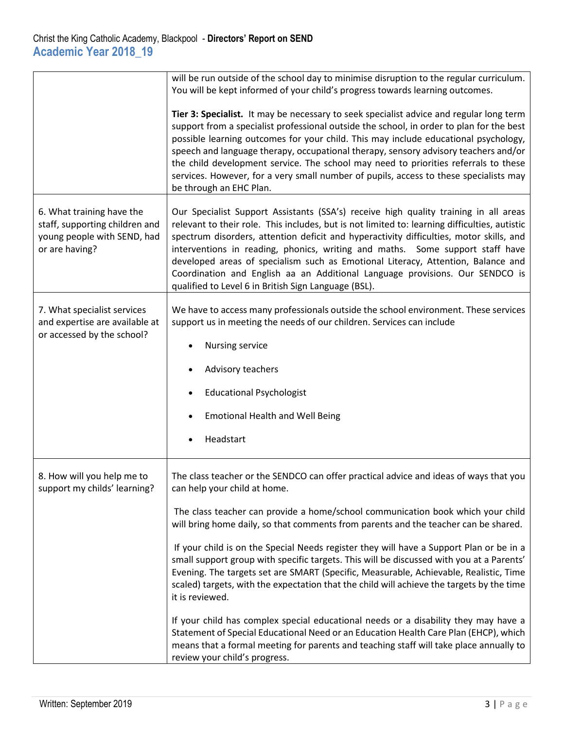|                                                                                                              | will be run outside of the school day to minimise disruption to the regular curriculum.<br>You will be kept informed of your child's progress towards learning outcomes.                                                                                                                                                                                                                                                                                                                                                                                                                      |
|--------------------------------------------------------------------------------------------------------------|-----------------------------------------------------------------------------------------------------------------------------------------------------------------------------------------------------------------------------------------------------------------------------------------------------------------------------------------------------------------------------------------------------------------------------------------------------------------------------------------------------------------------------------------------------------------------------------------------|
|                                                                                                              | Tier 3: Specialist. It may be necessary to seek specialist advice and regular long term<br>support from a specialist professional outside the school, in order to plan for the best<br>possible learning outcomes for your child. This may include educational psychology,<br>speech and language therapy, occupational therapy, sensory advisory teachers and/or<br>the child development service. The school may need to priorities referrals to these<br>services. However, for a very small number of pupils, access to these specialists may<br>be through an EHC Plan.                  |
| 6. What training have the<br>staff, supporting children and<br>young people with SEND, had<br>or are having? | Our Specialist Support Assistants (SSA's) receive high quality training in all areas<br>relevant to their role. This includes, but is not limited to: learning difficulties, autistic<br>spectrum disorders, attention deficit and hyperactivity difficulties, motor skills, and<br>interventions in reading, phonics, writing and maths. Some support staff have<br>developed areas of specialism such as Emotional Literacy, Attention, Balance and<br>Coordination and English aa an Additional Language provisions. Our SENDCO is<br>qualified to Level 6 in British Sign Language (BSL). |
| 7. What specialist services<br>and expertise are available at<br>or accessed by the school?                  | We have to access many professionals outside the school environment. These services<br>support us in meeting the needs of our children. Services can include<br>Nursing service                                                                                                                                                                                                                                                                                                                                                                                                               |
|                                                                                                              | Advisory teachers                                                                                                                                                                                                                                                                                                                                                                                                                                                                                                                                                                             |
|                                                                                                              | <b>Educational Psychologist</b>                                                                                                                                                                                                                                                                                                                                                                                                                                                                                                                                                               |
|                                                                                                              | <b>Emotional Health and Well Being</b>                                                                                                                                                                                                                                                                                                                                                                                                                                                                                                                                                        |
|                                                                                                              | Headstart                                                                                                                                                                                                                                                                                                                                                                                                                                                                                                                                                                                     |
| 8. How will you help me to<br>support my childs' learning?                                                   | The class teacher or the SENDCO can offer practical advice and ideas of ways that you<br>can help your child at home.                                                                                                                                                                                                                                                                                                                                                                                                                                                                         |
|                                                                                                              | The class teacher can provide a home/school communication book which your child<br>will bring home daily, so that comments from parents and the teacher can be shared.                                                                                                                                                                                                                                                                                                                                                                                                                        |
|                                                                                                              | If your child is on the Special Needs register they will have a Support Plan or be in a<br>small support group with specific targets. This will be discussed with you at a Parents'<br>Evening. The targets set are SMART (Specific, Measurable, Achievable, Realistic, Time<br>scaled) targets, with the expectation that the child will achieve the targets by the time<br>it is reviewed.                                                                                                                                                                                                  |
|                                                                                                              | If your child has complex special educational needs or a disability they may have a<br>Statement of Special Educational Need or an Education Health Care Plan (EHCP), which<br>means that a formal meeting for parents and teaching staff will take place annually to<br>review your child's progress.                                                                                                                                                                                                                                                                                        |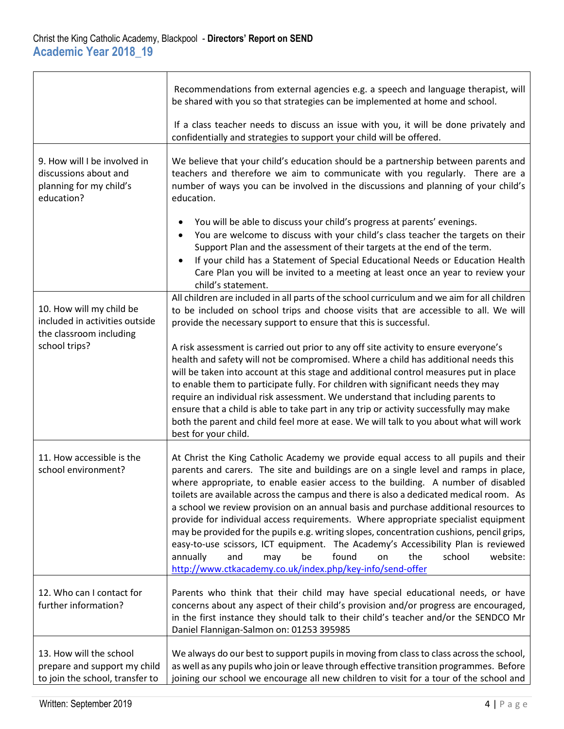|                                                                                                | Recommendations from external agencies e.g. a speech and language therapist, will<br>be shared with you so that strategies can be implemented at home and school.                                                                                                                                                                                                                                                                                                                                                                                                                                                                                                                                                                                                                                                                                                  |
|------------------------------------------------------------------------------------------------|--------------------------------------------------------------------------------------------------------------------------------------------------------------------------------------------------------------------------------------------------------------------------------------------------------------------------------------------------------------------------------------------------------------------------------------------------------------------------------------------------------------------------------------------------------------------------------------------------------------------------------------------------------------------------------------------------------------------------------------------------------------------------------------------------------------------------------------------------------------------|
|                                                                                                | If a class teacher needs to discuss an issue with you, it will be done privately and<br>confidentially and strategies to support your child will be offered.                                                                                                                                                                                                                                                                                                                                                                                                                                                                                                                                                                                                                                                                                                       |
| 9. How will I be involved in<br>discussions about and<br>planning for my child's<br>education? | We believe that your child's education should be a partnership between parents and<br>teachers and therefore we aim to communicate with you regularly. There are a<br>number of ways you can be involved in the discussions and planning of your child's<br>education.                                                                                                                                                                                                                                                                                                                                                                                                                                                                                                                                                                                             |
|                                                                                                | You will be able to discuss your child's progress at parents' evenings.<br>You are welcome to discuss with your child's class teacher the targets on their<br>Support Plan and the assessment of their targets at the end of the term.<br>If your child has a Statement of Special Educational Needs or Education Health<br>$\bullet$<br>Care Plan you will be invited to a meeting at least once an year to review your<br>child's statement.                                                                                                                                                                                                                                                                                                                                                                                                                     |
| 10. How will my child be<br>included in activities outside<br>the classroom including          | All children are included in all parts of the school curriculum and we aim for all children<br>to be included on school trips and choose visits that are accessible to all. We will<br>provide the necessary support to ensure that this is successful.                                                                                                                                                                                                                                                                                                                                                                                                                                                                                                                                                                                                            |
| school trips?                                                                                  | A risk assessment is carried out prior to any off site activity to ensure everyone's<br>health and safety will not be compromised. Where a child has additional needs this<br>will be taken into account at this stage and additional control measures put in place<br>to enable them to participate fully. For children with significant needs they may<br>require an individual risk assessment. We understand that including parents to<br>ensure that a child is able to take part in any trip or activity successfully may make<br>both the parent and child feel more at ease. We will talk to you about what will work<br>best for your child.                                                                                                                                                                                                              |
| 11. How accessible is the<br>school environment?                                               | At Christ the King Catholic Academy we provide equal access to all pupils and their<br>parents and carers. The site and buildings are on a single level and ramps in place,<br>where appropriate, to enable easier access to the building. A number of disabled<br>toilets are available across the campus and there is also a dedicated medical room. As<br>a school we review provision on an annual basis and purchase additional resources to<br>provide for individual access requirements. Where appropriate specialist equipment<br>may be provided for the pupils e.g. writing slopes, concentration cushions, pencil grips,<br>easy-to-use scissors, ICT equipment. The Academy's Accessibility Plan is reviewed<br>found<br>school<br>website:<br>annually<br>and<br>the<br>be<br>may<br>on<br>http://www.ctkacademy.co.uk/index.php/key-info/send-offer |
| 12. Who can I contact for<br>further information?                                              | Parents who think that their child may have special educational needs, or have<br>concerns about any aspect of their child's provision and/or progress are encouraged,<br>in the first instance they should talk to their child's teacher and/or the SENDCO Mr<br>Daniel Flannigan-Salmon on: 01253 395985                                                                                                                                                                                                                                                                                                                                                                                                                                                                                                                                                         |
| 13. How will the school<br>prepare and support my child<br>to join the school, transfer to     | We always do our best to support pupils in moving from class to class across the school,<br>as well as any pupils who join or leave through effective transition programmes. Before<br>joining our school we encourage all new children to visit for a tour of the school and                                                                                                                                                                                                                                                                                                                                                                                                                                                                                                                                                                                      |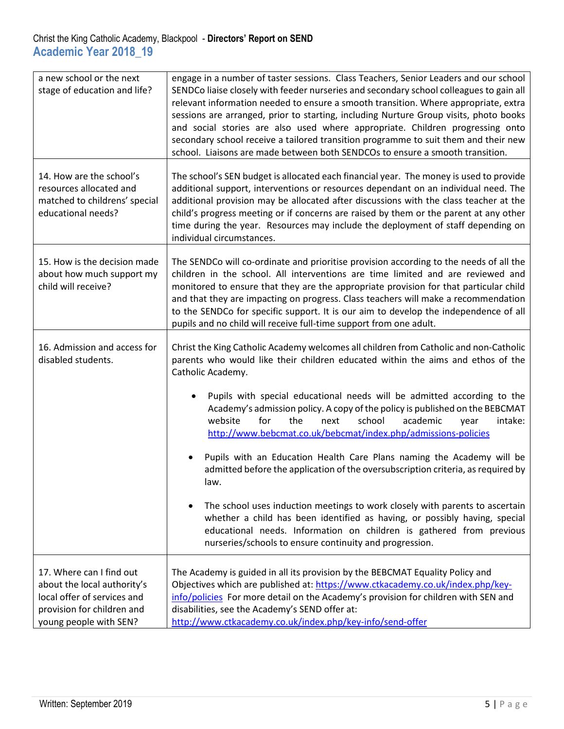## Christ the King Catholic Academy, Blackpool - **Directors' Report on SEND Academic Year 2018\_19**

| a new school or the next<br>stage of education and life?                                                                                       | engage in a number of taster sessions. Class Teachers, Senior Leaders and our school<br>SENDCo liaise closely with feeder nurseries and secondary school colleagues to gain all<br>relevant information needed to ensure a smooth transition. Where appropriate, extra<br>sessions are arranged, prior to starting, including Nurture Group visits, photo books<br>and social stories are also used where appropriate. Children progressing onto<br>secondary school receive a tailored transition programme to suit them and their new<br>school. Liaisons are made between both SENDCOs to ensure a smooth transition. |
|------------------------------------------------------------------------------------------------------------------------------------------------|--------------------------------------------------------------------------------------------------------------------------------------------------------------------------------------------------------------------------------------------------------------------------------------------------------------------------------------------------------------------------------------------------------------------------------------------------------------------------------------------------------------------------------------------------------------------------------------------------------------------------|
| 14. How are the school's<br>resources allocated and<br>matched to childrens' special<br>educational needs?                                     | The school's SEN budget is allocated each financial year. The money is used to provide<br>additional support, interventions or resources dependant on an individual need. The<br>additional provision may be allocated after discussions with the class teacher at the<br>child's progress meeting or if concerns are raised by them or the parent at any other<br>time during the year. Resources may include the deployment of staff depending on<br>individual circumstances.                                                                                                                                         |
| 15. How is the decision made<br>about how much support my<br>child will receive?                                                               | The SENDCo will co-ordinate and prioritise provision according to the needs of all the<br>children in the school. All interventions are time limited and are reviewed and<br>monitored to ensure that they are the appropriate provision for that particular child<br>and that they are impacting on progress. Class teachers will make a recommendation<br>to the SENDCo for specific support. It is our aim to develop the independence of all<br>pupils and no child will receive full-time support from one adult.                                                                                                   |
| 16. Admission and access for<br>disabled students.                                                                                             | Christ the King Catholic Academy welcomes all children from Catholic and non-Catholic<br>parents who would like their children educated within the aims and ethos of the<br>Catholic Academy.                                                                                                                                                                                                                                                                                                                                                                                                                            |
|                                                                                                                                                | Pupils with special educational needs will be admitted according to the<br>Academy's admission policy. A copy of the policy is published on the BEBCMAT<br>school<br>academic<br>website<br>for<br>the<br>next<br>intake:<br>vear<br>http://www.bebcmat.co.uk/bebcmat/index.php/admissions-policies                                                                                                                                                                                                                                                                                                                      |
|                                                                                                                                                | Pupils with an Education Health Care Plans naming the Academy will be<br>admitted before the application of the oversubscription criteria, as required by<br>law.                                                                                                                                                                                                                                                                                                                                                                                                                                                        |
|                                                                                                                                                | The school uses induction meetings to work closely with parents to ascertain<br>whether a child has been identified as having, or possibly having, special<br>educational needs. Information on children is gathered from previous<br>nurseries/schools to ensure continuity and progression.                                                                                                                                                                                                                                                                                                                            |
| 17. Where can I find out<br>about the local authority's<br>local offer of services and<br>provision for children and<br>young people with SEN? | The Academy is guided in all its provision by the BEBCMAT Equality Policy and<br>Objectives which are published at: https://www.ctkacademy.co.uk/index.php/key-<br>info/policies For more detail on the Academy's provision for children with SEN and<br>disabilities, see the Academy's SEND offer at:<br>http://www.ctkacademy.co.uk/index.php/key-info/send-offer                                                                                                                                                                                                                                                     |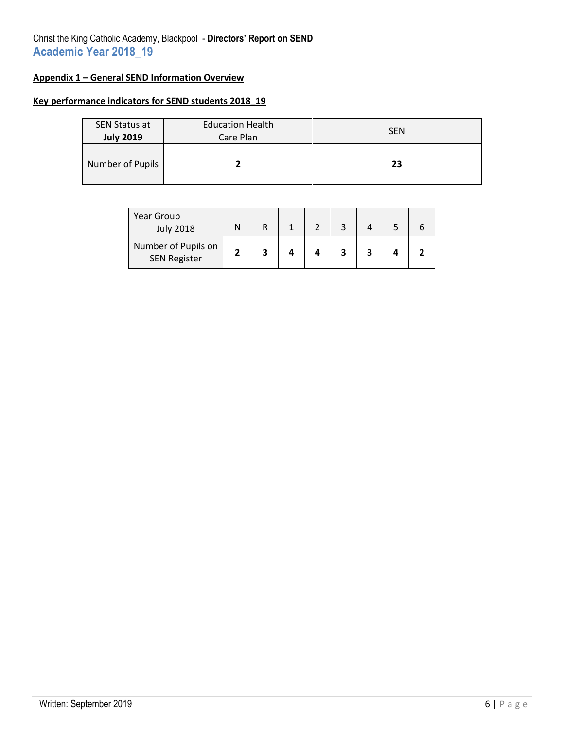# Christ the King Catholic Academy, Blackpool - **Directors' Report on SEND Academic Year 2018\_19**

# **Appendix 1 – General SEND Information Overview**

### **Key performance indicators for SEND students 2018\_19**

| <b>SEN Status at</b><br><b>July 2019</b> | <b>Education Health</b><br>Care Plan | <b>SEN</b> |
|------------------------------------------|--------------------------------------|------------|
| Number of Pupils                         |                                      | 23         |

| Year Group<br><b>July 2018</b>             |  |  |  |  |
|--------------------------------------------|--|--|--|--|
| Number of Pupils on<br><b>SEN Register</b> |  |  |  |  |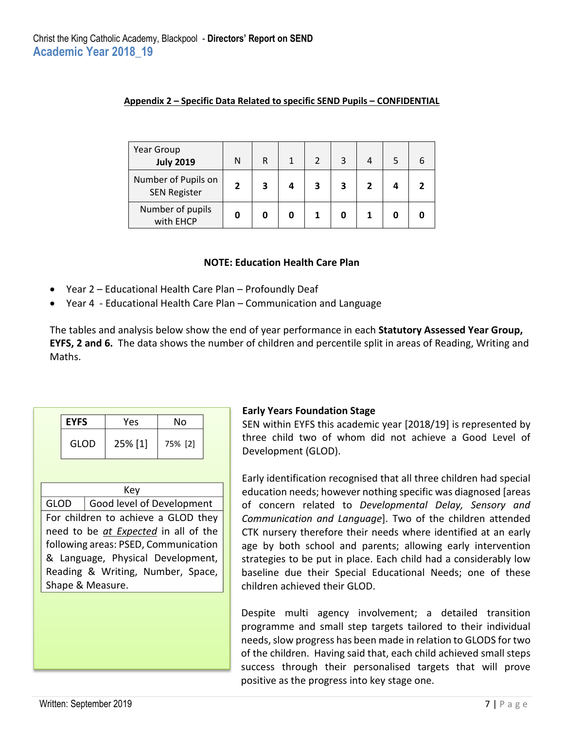| Year Group<br><b>July 2019</b>             | N | R |   | 3 |  |  |
|--------------------------------------------|---|---|---|---|--|--|
| Number of Pupils on<br><b>SEN Register</b> | 2 | З | З | 3 |  |  |
| Number of pupils<br>with EHCP              |   |   |   |   |  |  |

#### **Appendix 2 – Specific Data Related to specific SEND Pupils – CONFIDENTIAL**

#### **NOTE: Education Health Care Plan**

- Year 2 Educational Health Care Plan Profoundly Deaf
- Year 4 Educational Health Care Plan Communication and Language

The tables and analysis below show the end of year performance in each **Statutory Assessed Year Group, EYFS, 2 and 6.** The data shows the number of children and percentile split in areas of Reading, Writing and Maths.

| <b>EYFS</b> | Yes     | Nο      |
|-------------|---------|---------|
| GLOD        | 25% [1] | 75% [2] |

# Key

GLOD | Good level of Development For children to achieve a GLOD they need to be *at Expected* in all of the following areas: PSED, Communication & Language, Physical Development, Reading & Writing, Number, Space, Shape & Measure.

#### **Early Years Foundation Stage**

SEN within EYFS this academic year [2018/19] is represented by three child two of whom did not achieve a Good Level of Development (GLOD).

Early identification recognised that all three children had special education needs; however nothing specific was diagnosed [areas of concern related to *Developmental Delay, Sensory and Communication and Language*]. Two of the children attended CTK nursery therefore their needs where identified at an early age by both school and parents; allowing early intervention strategies to be put in place. Each child had a considerably low baseline due their Special Educational Needs; one of these children achieved their GLOD.

Despite multi agency involvement; a detailed transition programme and small step targets tailored to their individual needs, slow progress has been made in relation to GLODS for two of the children. Having said that, each child achieved small steps success through their personalised targets that will prove positive as the progress into key stage one.